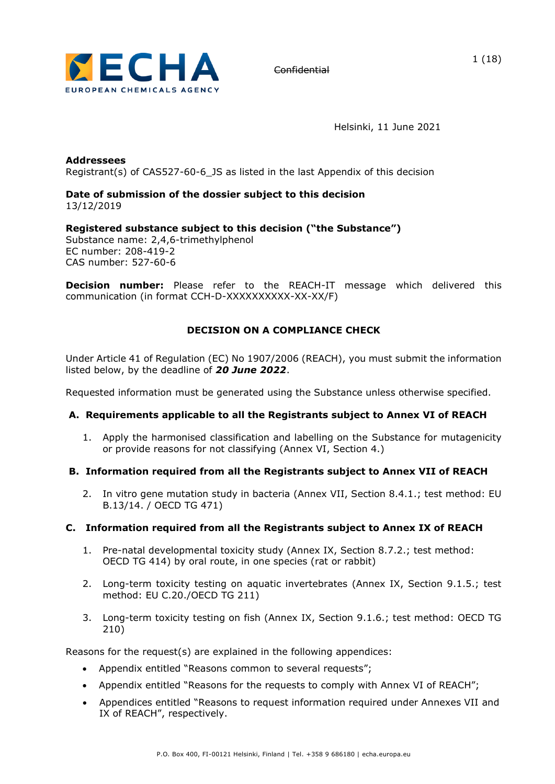

1 (18)

Helsinki, 11 June 2021

**Addressees** Registrant(s) of CAS527-60-6\_JS as listed in the last Appendix of this decision

#### **Date of submission of the dossier subject to this decision**  13/12/2019

**Registered substance subject to this decision ("the Substance")** Substance name: 2,4,6-trimethylphenol EC number: 208-419-2 CAS number: 527-60-6

**Decision number:** Please refer to the REACH-IT message which delivered this communication (in format CCH-D-XXXXXXXXXX-XX-XX/F)

# **DECISION ON A COMPLIANCE CHECK**

Under Article 41 of Regulation (EC) No 1907/2006 (REACH), you must submit the information listed below, by the deadline of *20 June 2022*.

Requested information must be generated using the Substance unless otherwise specified.

# **A. Requirements applicable to all the Registrants subject to Annex VI of REACH**

1. Apply the harmonised classification and labelling on the Substance for mutagenicity or provide reasons for not classifying (Annex VI, Section 4.)

# **B. Information required from all the Registrants subject to Annex VII of REACH**

2. In vitro gene mutation study in bacteria (Annex VII, Section 8.4.1.; test method: EU B.13/14. / OECD TG 471)

### **C. Information required from all the Registrants subject to Annex IX of REACH**

- 1. Pre-natal developmental toxicity study (Annex IX, Section 8.7.2.; test method: OECD TG 414) by oral route, in one species (rat or rabbit)
- 2. Long-term toxicity testing on aquatic invertebrates (Annex IX, Section 9.1.5.; test method: EU C.20./OECD TG 211)
- 3. Long-term toxicity testing on fish (Annex IX, Section 9.1.6.; test method: OECD TG 210)

Reasons for the request(s) are explained in the following appendices:

- Appendix entitled "Reasons common to several requests";
- Appendix entitled "Reasons for the requests to comply with Annex VI of REACH";
- Appendices entitled "Reasons to request information required under Annexes VII and IX of REACH", respectively.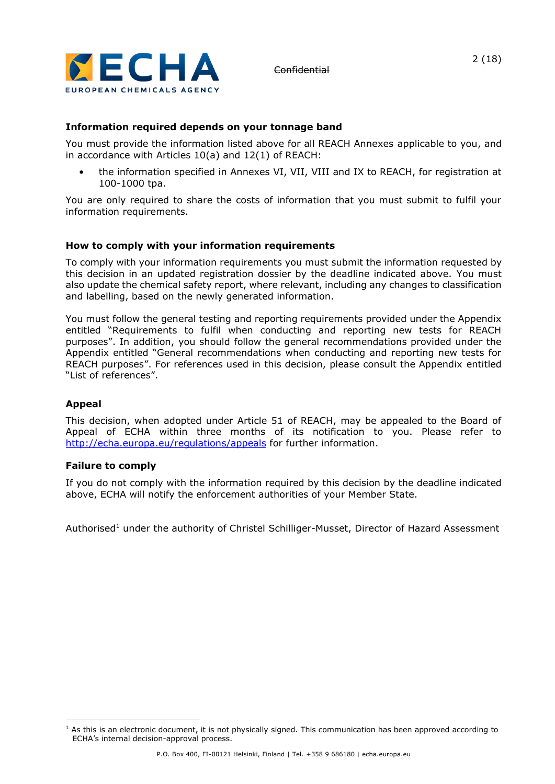

# **Information required depends on your tonnage band**

You must provide the information listed above for all REACH Annexes applicable to you, and in accordance with Articles 10(a) and 12(1) of REACH:

• the information specified in Annexes VI, VII, VIII and IX to REACH, for registration at 100-1000 tpa.

You are only required to share the costs of information that you must submit to fulfil your information requirements.

### **How to comply with your information requirements**

To comply with your information requirements you must submit the information requested by this decision in an updated registration dossier by the deadline indicated above. You must also update the chemical safety report, where relevant, including any changes to classification and labelling, based on the newly generated information.

You must follow the general testing and reporting requirements provided under the Appendix entitled "Requirements to fulfil when conducting and reporting new tests for REACH purposes". In addition, you should follow the general recommendations provided under the Appendix entitled "General recommendations when conducting and reporting new tests for REACH purposes". For references used in this decision, please consult the Appendix entitled "List of references".

### **Appeal**

This decision, when adopted under Article 51 of REACH, may be appealed to the Board of Appeal of ECHA within three months of its notification to you. Please refer to <http://echa.europa.eu/regulations/appeals> for further information.

### **Failure to comply**

If you do not comply with the information required by this decision by the deadline indicated above, ECHA will notify the enforcement authorities of your Member State.

Authorised<sup>1</sup> under the authority of Christel Schilliger-Musset, Director of Hazard Assessment

 $<sup>1</sup>$  As this is an electronic document, it is not physically signed. This communication has been approved according to</sup> ECHA's internal decision-approval process.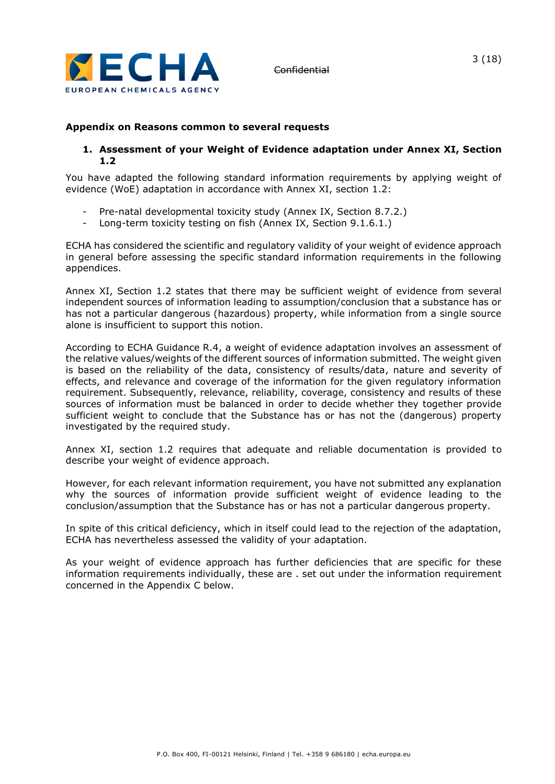

# **Appendix on Reasons common to several requests**

### **1. Assessment of your Weight of Evidence adaptation under Annex XI, Section 1.2**

You have adapted the following standard information requirements by applying weight of evidence (WoE) adaptation in accordance with Annex XI, section 1.2:

- Pre-natal developmental toxicity study (Annex IX, Section 8.7.2.)
- Long-term toxicity testing on fish (Annex IX, Section 9.1.6.1.)

ECHA has considered the scientific and regulatory validity of your weight of evidence approach in general before assessing the specific standard information requirements in the following appendices.

Annex XI, Section 1.2 states that there may be sufficient weight of evidence from several independent sources of information leading to assumption/conclusion that a substance has or has not a particular dangerous (hazardous) property, while information from a single source alone is insufficient to support this notion.

According to ECHA Guidance R.4, a weight of evidence adaptation involves an assessment of the relative values/weights of the different sources of information submitted. The weight given is based on the reliability of the data, consistency of results/data, nature and severity of effects, and relevance and coverage of the information for the given regulatory information requirement. Subsequently, relevance, reliability, coverage, consistency and results of these sources of information must be balanced in order to decide whether they together provide sufficient weight to conclude that the Substance has or has not the (dangerous) property investigated by the required study.

Annex XI, section 1.2 requires that adequate and reliable documentation is provided to describe your weight of evidence approach.

However, for each relevant information requirement, you have not submitted any explanation why the sources of information provide sufficient weight of evidence leading to the conclusion/assumption that the Substance has or has not a particular dangerous property.

In spite of this critical deficiency, which in itself could lead to the rejection of the adaptation, ECHA has nevertheless assessed the validity of your adaptation.

As your weight of evidence approach has further deficiencies that are specific for these information requirements individually, these are . set out under the information requirement concerned in the Appendix C below.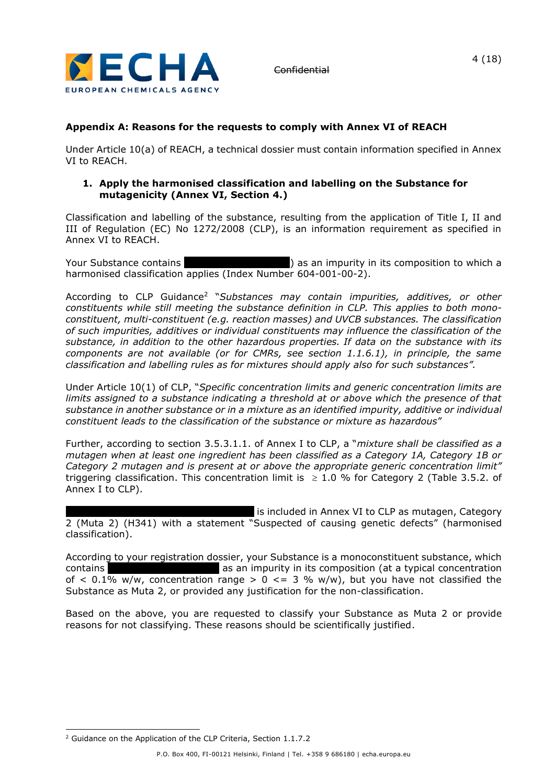

# 4 (18)

# **Appendix A: Reasons for the requests to comply with Annex VI of REACH**

Under Article 10(a) of REACH, a technical dossier must contain information specified in Annex VI to REACH.

### **1. Apply the harmonised classification and labelling on the Substance for mutagenicity (Annex VI, Section 4.)**

Classification and labelling of the substance, resulting from the application of Title I, II and III of Regulation (EC) No 1272/2008 (CLP), is an information requirement as specified in Annex VI to REACH.

Your Substance contains xxxxxx xxx xxxxxxxxx) as an impurity in its composition to which a harmonised classification applies (Index Number 604-001-00-2).

According to CLP Guidance<sup>2</sup> "*Substances may contain impurities, additives, or other constituents while still meeting the substance definition in CLP. This applies to both monoconstituent, multi-constituent (e.g. reaction masses) and UVCB substances. The classification of such impurities, additives or individual constituents may influence the classification of the substance, in addition to the other hazardous properties. If data on the substance with its components are not available (or for CMRs, see section 1.1.6.1), in principle, the same classification and labelling rules as for mixtures should apply also for such substances".* 

Under Article 10(1) of CLP, "*Specific concentration limits and generic concentration limits are limits assigned to a substance indicating a threshold at or above which the presence of that substance in another substance or in a mixture as an identified impurity, additive or individual constituent leads to the classification of the substance or mixture as hazardous*"

Further, according to section 3.5.3.1.1. of Annex I to CLP, a "*mixture shall be classified as a mutagen when at least one ingredient has been classified as a Category 1A, Category 1B or Category 2 mutagen and is present at or above the appropriate generic concentration limit"* triggering classification. This concentration limit is  $\geq 1.0$  % for Category 2 (Table 3.5.2. of Annex I to CLP).

is included in Annex VI to CLP as mutagen, Category 2 (Muta 2) (H341) with a statement "Suspected of causing genetic defects" (harmonised classification).

According to your registration dossier, your Substance is a monoconstituent substance, which contains xxx xxx as an impurity in its composition (at a typical concentration contains of  $\langle 0.1\% \text{ w/w} \rangle$ , concentration range  $> 0 \leq 3$  % w/w), but you have not classified the Substance as Muta 2, or provided any justification for the non-classification.

Based on the above, you are requested to classify your Substance as Muta 2 or provide reasons for not classifying. These reasons should be scientifically justified.

<sup>2</sup> Guidance on the Application of the CLP Criteria, Section 1.1.7.2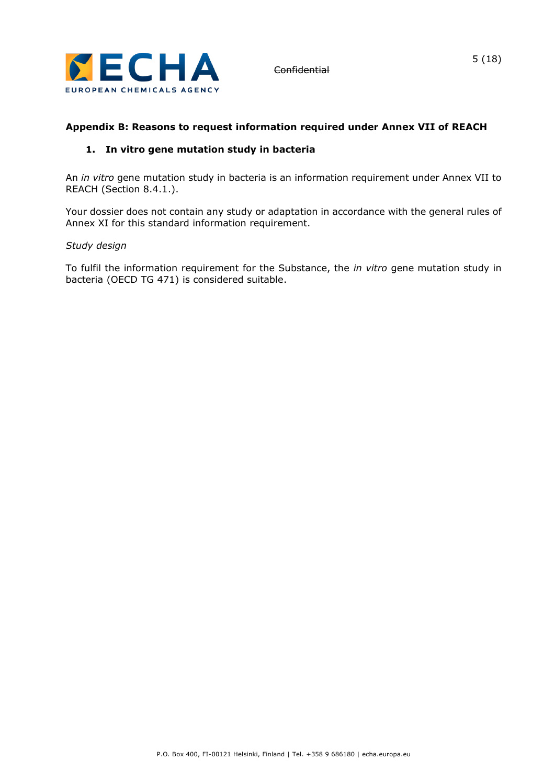

# **Appendix B: Reasons to request information required under Annex VII of REACH**

# **1. In vitro gene mutation study in bacteria**

An *in vitro* gene mutation study in bacteria is an information requirement under Annex VII to REACH (Section 8.4.1.).

Your dossier does not contain any study or adaptation in accordance with the general rules of Annex XI for this standard information requirement.

### *Study design*

To fulfil the information requirement for the Substance, the *in vitro* gene mutation study in bacteria (OECD TG 471) is considered suitable.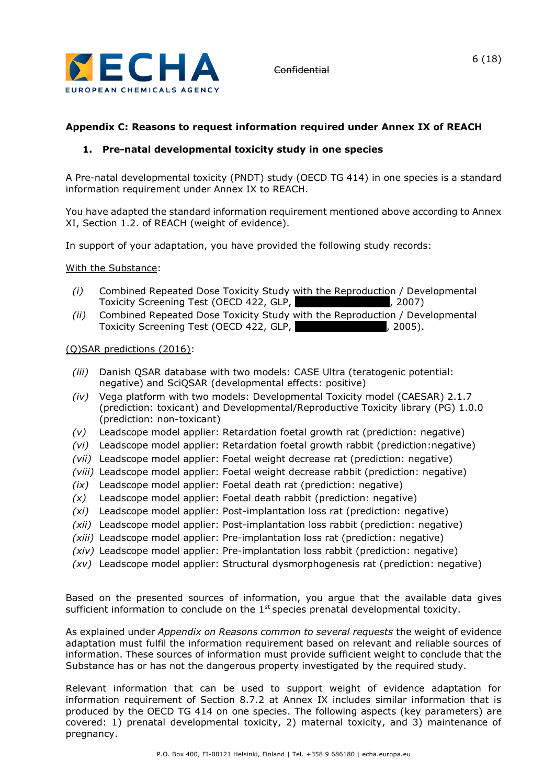

# **Appendix C: Reasons to request information required under Annex IX of REACH**

# **1. Pre-natal developmental toxicity study in one species**

A Pre-natal developmental toxicity (PNDT) study (OECD TG 414) in one species is a standard information requirement under Annex IX to REACH.

You have adapted the standard information requirement mentioned above according to Annex XI, Section 1.2. of REACH (weight of evidence).

In support of your adaptation, you have provided the following study records:

With the Substance:

- *(i)* Combined Repeated Dose Toxicity Study with the Reproduction / Developmental Toxicity Screening Test (OECD 422, GLP, xxxx xxxxxxx xxxxx, 2007)
- *(ii)* Combined Repeated Dose Toxicity Study with the Reproduction / Developmental Toxicity Screening Test (OECD 422, GLP, value and the state of the 1005).

#### (Q)SAR predictions (2016):

- *(iii)* Danish QSAR database with two models: CASE Ultra (teratogenic potential: negative) and SciQSAR (developmental effects: positive)
- *(iv)* Vega platform with two models: Developmental Toxicity model (CAESAR) 2.1.7 (prediction: toxicant) and Developmental/Reproductive Toxicity library (PG) 1.0.0 (prediction: non-toxicant)
- *(v)* Leadscope model applier: Retardation foetal growth rat (prediction: negative)
- *(vi)* Leadscope model applier: Retardation foetal growth rabbit (prediction:negative)
- *(vii)* Leadscope model applier: Foetal weight decrease rat (prediction: negative)
- *(viii)* Leadscope model applier: Foetal weight decrease rabbit (prediction: negative)
- *(ix)* Leadscope model applier: Foetal death rat (prediction: negative)
- *(x)* Leadscope model applier: Foetal death rabbit (prediction: negative)
- *(xi)* Leadscope model applier: Post-implantation loss rat (prediction: negative)
- *(xii)* Leadscope model applier: Post-implantation loss rabbit (prediction: negative)
- *(xiii)* Leadscope model applier: Pre-implantation loss rat (prediction: negative)
- *(xiv)* Leadscope model applier: Pre-implantation loss rabbit (prediction: negative)
- *(xv)* Leadscope model applier: Structural dysmorphogenesis rat (prediction: negative)

Based on the presented sources of information, you argue that the available data gives sufficient information to conclude on the  $1<sup>st</sup>$  species prenatal developmental toxicity.

As explained under *Appendix on Reasons common to several requests* the weight of evidence adaptation must fulfil the information requirement based on relevant and reliable sources of information. These sources of information must provide sufficient weight to conclude that the Substance has or has not the dangerous property investigated by the required study.

Relevant information that can be used to support weight of evidence adaptation for information requirement of Section 8.7.2 at Annex IX includes similar information that is produced by the OECD TG 414 on one species. The following aspects (key parameters) are covered: 1) prenatal developmental toxicity, 2) maternal toxicity, and 3) maintenance of pregnancy.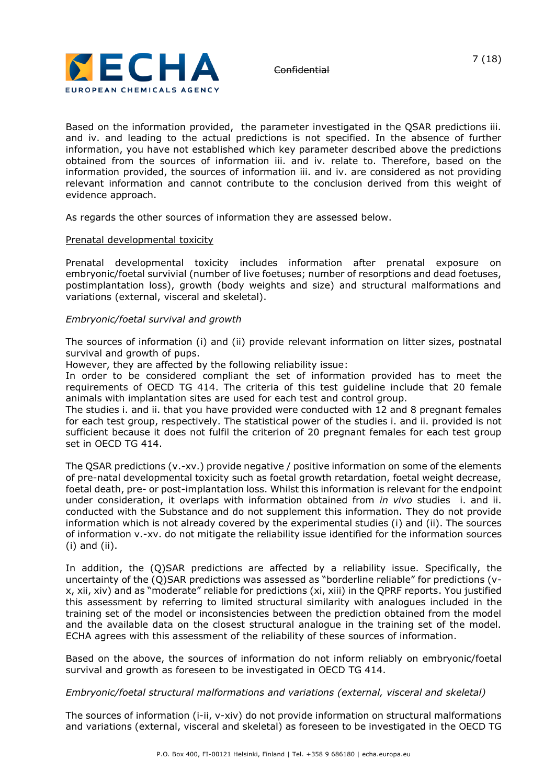

Based on the information provided, the parameter investigated in the QSAR predictions iii. and iv. and leading to the actual predictions is not specified. In the absence of further information, you have not established which key parameter described above the predictions obtained from the sources of information iii. and iv. relate to. Therefore, based on the information provided, the sources of information iii. and iv. are considered as not providing relevant information and cannot contribute to the conclusion derived from this weight of evidence approach.

As regards the other sources of information they are assessed below.

#### Prenatal developmental toxicity

Prenatal developmental toxicity includes information after prenatal exposure on embryonic/foetal survivial (number of live foetuses; number of resorptions and dead foetuses, postimplantation loss), growth (body weights and size) and structural malformations and variations (external, visceral and skeletal).

#### *Embryonic/foetal survival and growth*

The sources of information (i) and (ii) provide relevant information on litter sizes, postnatal survival and growth of pups.

However, they are affected by the following reliability issue:

In order to be considered compliant the set of information provided has to meet the requirements of OECD TG 414. The criteria of this test guideline include that 20 female animals with implantation sites are used for each test and control group.

The studies i. and ii. that you have provided were conducted with 12 and 8 pregnant females for each test group, respectively. The statistical power of the studies i. and ii. provided is not sufficient because it does not fulfil the criterion of 20 pregnant females for each test group set in OECD TG 414.

The QSAR predictions (v.-xv.) provide negative / positive information on some of the elements of pre-natal developmental toxicity such as foetal growth retardation, foetal weight decrease, foetal death, pre- or post-implantation loss. Whilst this information is relevant for the endpoint under consideration, it overlaps with information obtained from *in vivo* studies i. and ii. conducted with the Substance and do not supplement this information. They do not provide information which is not already covered by the experimental studies (i) and (ii). The sources of information v.-xv. do not mitigate the reliability issue identified for the information sources (i) and (ii).

In addition, the (Q)SAR predictions are affected by a reliability issue. Specifically, the uncertainty of the (Q)SAR predictions was assessed as "borderline reliable" for predictions (vx, xii, xiv) and as "moderate" reliable for predictions (xi, xiii) in the QPRF reports. You justified this assessment by referring to limited structural similarity with analogues included in the training set of the model or inconsistencies between the prediction obtained from the model and the available data on the closest structural analogue in the training set of the model. ECHA agrees with this assessment of the reliability of these sources of information.

Based on the above, the sources of information do not inform reliably on embryonic/foetal survival and growth as foreseen to be investigated in OECD TG 414.

### *Embryonic/foetal structural malformations and variations (external, visceral and skeletal)*

The sources of information (i-ii, v-xiv) do not provide information on structural malformations and variations (external, visceral and skeletal) as foreseen to be investigated in the OECD TG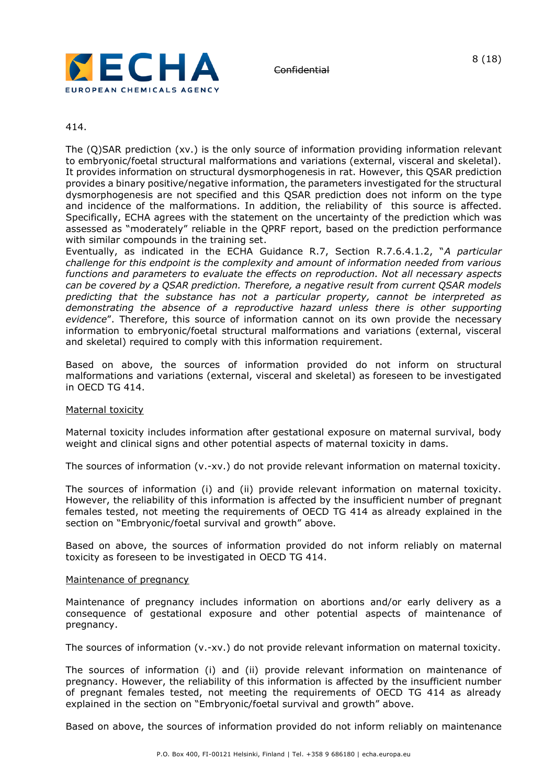

### 414.

The (Q)SAR prediction (xv.) is the only source of information providing information relevant to embryonic/foetal structural malformations and variations (external, visceral and skeletal). It provides information on structural dysmorphogenesis in rat. However, this QSAR prediction provides a binary positive/negative information, the parameters investigated for the structural dysmorphogenesis are not specified and this QSAR prediction does not inform on the type and incidence of the malformations. In addition, the reliability of this source is affected. Specifically, ECHA agrees with the statement on the uncertainty of the prediction which was assessed as "moderately" reliable in the QPRF report, based on the prediction performance with similar compounds in the training set.

Eventually, as indicated in the ECHA Guidance R.7, Section R.7.6.4.1.2, "*A particular challenge for this endpoint is the complexity and amount of information needed from various functions and parameters to evaluate the effects on reproduction. Not all necessary aspects can be covered by a QSAR prediction. Therefore, a negative result from current QSAR models predicting that the substance has not a particular property, cannot be interpreted as demonstrating the absence of a reproductive hazard unless there is other supporting evidence*". Therefore, this source of information cannot on its own provide the necessary information to embryonic/foetal structural malformations and variations (external, visceral and skeletal) required to comply with this information requirement.

Based on above, the sources of information provided do not inform on structural malformations and variations (external, visceral and skeletal) as foreseen to be investigated in OECD TG 414.

#### Maternal toxicity

Maternal toxicity includes information after gestational exposure on maternal survival, body weight and clinical signs and other potential aspects of maternal toxicity in dams.

The sources of information (v.-xv.) do not provide relevant information on maternal toxicity.

The sources of information (i) and (ii) provide relevant information on maternal toxicity. However, the reliability of this information is affected by the insufficient number of pregnant females tested, not meeting the requirements of OECD TG 414 as already explained in the section on "Embryonic/foetal survival and growth" above.

Based on above, the sources of information provided do not inform reliably on maternal toxicity as foreseen to be investigated in OECD TG 414.

#### Maintenance of pregnancy

Maintenance of pregnancy includes information on abortions and/or early delivery as a consequence of gestational exposure and other potential aspects of maintenance of pregnancy.

The sources of information (v.-xv.) do not provide relevant information on maternal toxicity.

The sources of information (i) and (ii) provide relevant information on maintenance of pregnancy. However, the reliability of this information is affected by the insufficient number of pregnant females tested, not meeting the requirements of OECD TG 414 as already explained in the section on "Embryonic/foetal survival and growth" above.

Based on above, the sources of information provided do not inform reliably on maintenance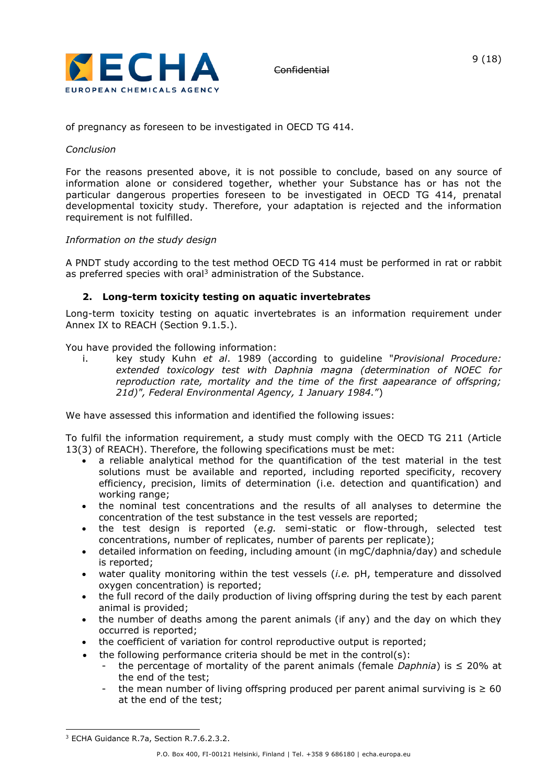

of pregnancy as foreseen to be investigated in OECD TG 414.

# *Conclusion*

For the reasons presented above, it is not possible to conclude, based on any source of information alone or considered together, whether your Substance has or has not the particular dangerous properties foreseen to be investigated in OECD TG 414, prenatal developmental toxicity study. Therefore, your adaptation is rejected and the information requirement is not fulfilled.

# *Information on the study design*

A PNDT study according to the test method OECD TG 414 must be performed in rat or rabbit as preferred species with oral<sup>3</sup> administration of the Substance.

# **2. Long-term toxicity testing on aquatic invertebrates**

Long-term toxicity testing on aquatic invertebrates is an information requirement under Annex IX to REACH (Section 9.1.5.).

You have provided the following information:

i. key study Kuhn *et al*. 1989 (according to guideline "*Provisional Procedure: extended toxicology test with Daphnia magna (determination of NOEC for reproduction rate, mortality and the time of the first aapearance of offspring; 21d)", Federal Environmental Agency, 1 January 1984.*")

We have assessed this information and identified the following issues:

To fulfil the information requirement, a study must comply with the OECD TG 211 (Article 13(3) of REACH). Therefore, the following specifications must be met:

- a reliable analytical method for the quantification of the test material in the test solutions must be available and reported, including reported specificity, recovery efficiency, precision, limits of determination (i.e. detection and quantification) and working range;
- the nominal test concentrations and the results of all analyses to determine the concentration of the test substance in the test vessels are reported;
- the test design is reported (*e.g.* semi-static or flow-through, selected test concentrations, number of replicates, number of parents per replicate);
- detailed information on feeding, including amount (in mgC/daphnia/day) and schedule is reported;
- water quality monitoring within the test vessels (*i.e.* pH, temperature and dissolved oxygen concentration) is reported;
- the full record of the daily production of living offspring during the test by each parent animal is provided;
- the number of deaths among the parent animals (if any) and the day on which they occurred is reported;
- the coefficient of variation for control reproductive output is reported;
- $\bullet$  the following performance criteria should be met in the control(s):
	- the percentage of mortality of the parent animals (female *Daphnia*) is  $\leq$  20% at the end of the test;
	- the mean number of living offspring produced per parent animal surviving is  $\geq 60$ at the end of the test;

<sup>&</sup>lt;sup>3</sup> ECHA Guidance R.7a, Section R.7.6.2.3.2.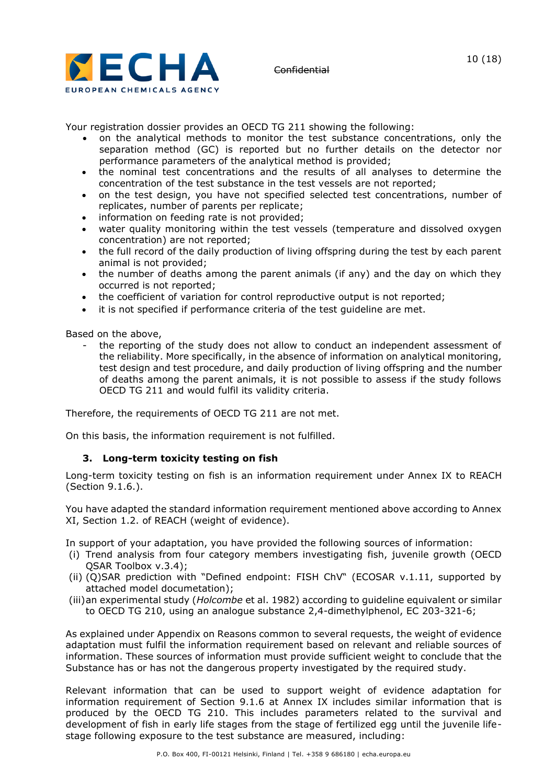

Your registration dossier provides an OECD TG 211 showing the following:

- on the analytical methods to monitor the test substance concentrations, only the separation method (GC) is reported but no further details on the detector nor performance parameters of the analytical method is provided;
- the nominal test concentrations and the results of all analyses to determine the concentration of the test substance in the test vessels are not reported;
- on the test design, you have not specified selected test concentrations, number of replicates, number of parents per replicate;
- information on feeding rate is not provided;
- water quality monitoring within the test vessels (temperature and dissolved oxygen concentration) are not reported;
- the full record of the daily production of living offspring during the test by each parent animal is not provided;
- the number of deaths among the parent animals (if any) and the day on which they occurred is not reported;
- the coefficient of variation for control reproductive output is not reported;
- it is not specified if performance criteria of the test guideline are met.

Based on the above,

- the reporting of the study does not allow to conduct an independent assessment of the reliability. More specifically, in the absence of information on analytical monitoring, test design and test procedure, and daily production of living offspring and the number of deaths among the parent animals, it is not possible to assess if the study follows OECD TG 211 and would fulfil its validity criteria.

Therefore, the requirements of OECD TG 211 are not met.

On this basis, the information requirement is not fulfilled.

### **3. Long-term toxicity testing on fish**

Long-term toxicity testing on fish is an information requirement under Annex IX to REACH (Section 9.1.6.).

You have adapted the standard information requirement mentioned above according to Annex XI, Section 1.2. of REACH (weight of evidence).

In support of your adaptation, you have provided the following sources of information:

- (i) Trend analysis from four category members investigating fish, juvenile growth (OECD QSAR Toolbox v.3.4);
- (ii) (Q)SAR prediction with "Defined endpoint: FISH ChV" (ECOSAR v.1.11, supported by attached model documetation);
- (iii)an experimental study (*Holcombe* et al. 1982) according to guideline equivalent or similar to OECD TG 210, using an analogue substance 2,4-dimethylphenol, EC 203-321-6;

As explained under Appendix on Reasons common to several requests, the weight of evidence adaptation must fulfil the information requirement based on relevant and reliable sources of information. These sources of information must provide sufficient weight to conclude that the Substance has or has not the dangerous property investigated by the required study.

Relevant information that can be used to support weight of evidence adaptation for information requirement of Section 9.1.6 at Annex IX includes similar information that is produced by the OECD TG 210. This includes parameters related to the survival and development of fish in early life stages from the stage of fertilized egg until the juvenile lifestage following exposure to the test substance are measured, including: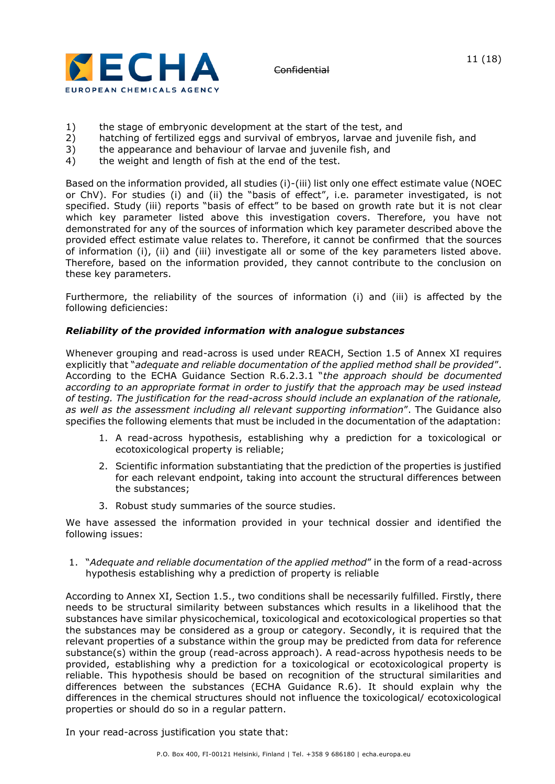

- 1) the stage of embryonic development at the start of the test, and
- 2) hatching of fertilized eggs and survival of embryos, larvae and juvenile fish, and<br>3) the appearance and behaviour of larvae and juvenile fish, and
- 3) the appearance and behaviour of larvae and juvenile fish, and<br>4) the weight and length of fish at the end of the test.
- the weight and length of fish at the end of the test.

Based on the information provided, all studies (i)-(iii) list only one effect estimate value (NOEC or ChV). For studies (i) and (ii) the "basis of effect", i.e. parameter investigated, is not specified. Study (iii) reports "basis of effect" to be based on growth rate but it is not clear which key parameter listed above this investigation covers. Therefore, you have not demonstrated for any of the sources of information which key parameter described above the provided effect estimate value relates to. Therefore, it cannot be confirmed that the sources of information (i), (ii) and (iii) investigate all or some of the key parameters listed above. Therefore, based on the information provided, they cannot contribute to the conclusion on these key parameters.

Furthermore, the reliability of the sources of information (i) and (iii) is affected by the following deficiencies:

# *Reliability of the provided information with analogue substances*

Whenever grouping and read-across is used under REACH, Section 1.5 of Annex XI requires explicitly that "*adequate and reliable documentation of the applied method shall be provided*". According to the ECHA Guidance Section R.6.2.3.1 "*the approach should be documented according to an appropriate format in order to justify that the approach may be used instead of testing. The justification for the read-across should include an explanation of the rationale, as well as the assessment including all relevant supporting information*". The Guidance also specifies the following elements that must be included in the documentation of the adaptation:

- 1. A read-across hypothesis, establishing why a prediction for a toxicological or ecotoxicological property is reliable;
- 2. Scientific information substantiating that the prediction of the properties is justified for each relevant endpoint, taking into account the structural differences between the substances;
- 3. Robust study summaries of the source studies.

We have assessed the information provided in your technical dossier and identified the following issues:

1. "*Adequate and reliable documentation of the applied method*" in the form of a read-across hypothesis establishing why a prediction of property is reliable

According to Annex XI, Section 1.5., two conditions shall be necessarily fulfilled. Firstly, there needs to be structural similarity between substances which results in a likelihood that the substances have similar physicochemical, toxicological and ecotoxicological properties so that the substances may be considered as a group or category. Secondly, it is required that the relevant properties of a substance within the group may be predicted from data for reference substance(s) within the group (read-across approach). A read-across hypothesis needs to be provided, establishing why a prediction for a toxicological or ecotoxicological property is reliable. This hypothesis should be based on recognition of the structural similarities and differences between the substances (ECHA Guidance R.6). It should explain why the differences in the chemical structures should not influence the toxicological/ ecotoxicological properties or should do so in a regular pattern.

In your read-across justification you state that: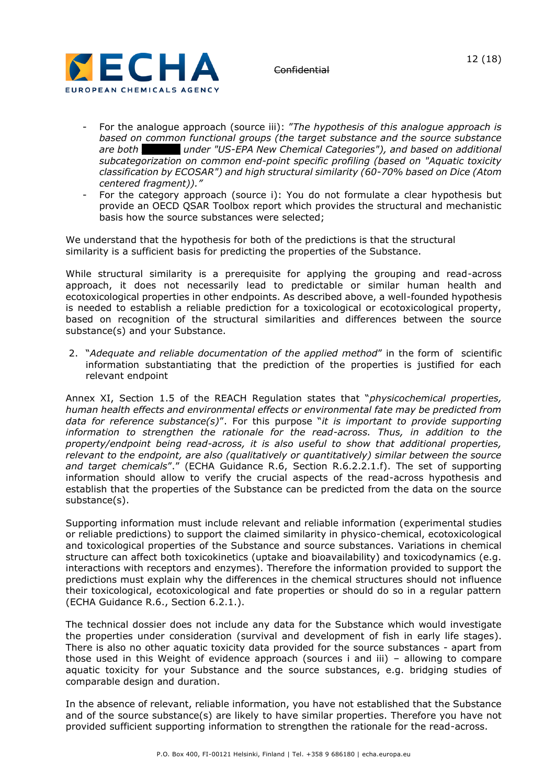

- For the analogue approach (source iii): "*The hypothesis of this analogue approach is based on common functional groups (the target substance and the source substance are both xxxxxxx under "US-EPA New Chemical Categories"), and based on additional subcategorization on common end-point specific profiling (based on "Aquatic toxicity classification by ECOSAR") and high structural similarity (60-70% based on Dice (Atom centered fragment))."*
- For the category approach (source i): You do not formulate a clear hypothesis but provide an OECD QSAR Toolbox report which provides the structural and mechanistic basis how the source substances were selected;

We understand that the hypothesis for both of the predictions is that the structural similarity is a sufficient basis for predicting the properties of the Substance.

While structural similarity is a prerequisite for applying the grouping and read-across approach, it does not necessarily lead to predictable or similar human health and ecotoxicological properties in other endpoints. As described above, a well-founded hypothesis is needed to establish a reliable prediction for a toxicological or ecotoxicological property, based on recognition of the structural similarities and differences between the source substance(s) and your Substance.

2. "*Adequate and reliable documentation of the applied method*" in the form of scientific information substantiating that the prediction of the properties is justified for each relevant endpoint

Annex XI, Section 1.5 of the REACH Regulation states that "*physicochemical properties, human health effects and environmental effects or environmental fate may be predicted from data for reference substance(s)*". For this purpose "*it is important to provide supporting information to strengthen the rationale for the read-across. Thus, in addition to the property/endpoint being read-across, it is also useful to show that additional properties, relevant to the endpoint, are also (qualitatively or quantitatively) similar between the source and target chemicals*"." (ECHA Guidance R.6, Section R.6.2.2.1.f). The set of supporting information should allow to verify the crucial aspects of the read-across hypothesis and establish that the properties of the Substance can be predicted from the data on the source substance(s).

Supporting information must include relevant and reliable information (experimental studies or reliable predictions) to support the claimed similarity in physico-chemical, ecotoxicological and toxicological properties of the Substance and source substances. Variations in chemical structure can affect both toxicokinetics (uptake and bioavailability) and toxicodynamics (e.g. interactions with receptors and enzymes). Therefore the information provided to support the predictions must explain why the differences in the chemical structures should not influence their toxicological, ecotoxicological and fate properties or should do so in a regular pattern (ECHA Guidance R.6., Section 6.2.1.).

The technical dossier does not include any data for the Substance which would investigate the properties under consideration (survival and development of fish in early life stages). There is also no other aquatic toxicity data provided for the source substances - apart from those used in this Weight of evidence approach (sources i and iii) – allowing to compare aquatic toxicity for your Substance and the source substances, e.g. bridging studies of comparable design and duration.

In the absence of relevant, reliable information, you have not established that the Substance and of the source substance(s) are likely to have similar properties. Therefore you have not provided sufficient supporting information to strengthen the rationale for the read-across.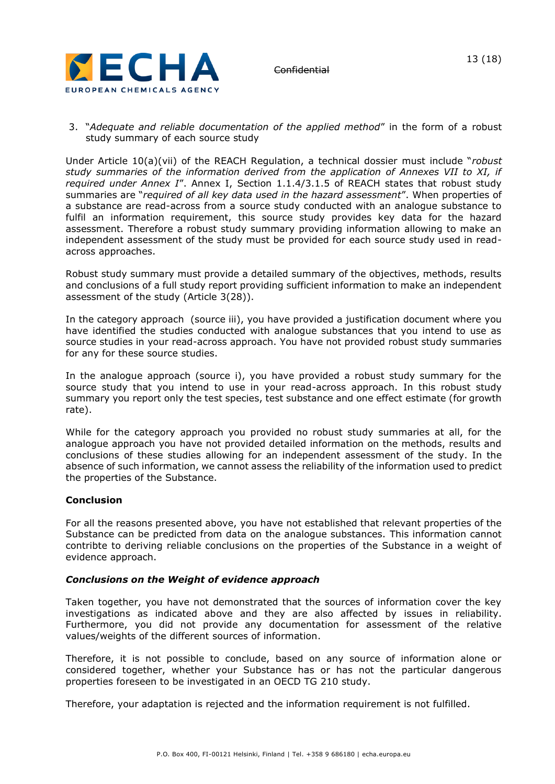

### 3. "*Adequate and reliable documentation of the applied method*" in the form of a robust study summary of each source study

Under Article 10(a)(vii) of the REACH Regulation, a technical dossier must include "*robust study summaries of the information derived from the application of Annexes VII to XI, if required under Annex I*". Annex I, Section 1.1.4/3.1.5 of REACH states that robust study summaries are "*required of all key data used in the hazard assessment*". When properties of a substance are read-across from a source study conducted with an analogue substance to fulfil an information requirement, this source study provides key data for the hazard assessment. Therefore a robust study summary providing information allowing to make an independent assessment of the study must be provided for each source study used in readacross approaches.

Robust study summary must provide a detailed summary of the objectives, methods, results and conclusions of a full study report providing sufficient information to make an independent assessment of the study (Article 3(28)).

In the category approach (source iii), you have provided a justification document where you have identified the studies conducted with analogue substances that you intend to use as source studies in your read-across approach. You have not provided robust study summaries for any for these source studies.

In the analogue approach (source i), you have provided a robust study summary for the source study that you intend to use in your read-across approach. In this robust study summary you report only the test species, test substance and one effect estimate (for growth rate).

While for the category approach you provided no robust study summaries at all, for the analogue approach you have not provided detailed information on the methods, results and conclusions of these studies allowing for an independent assessment of the study. In the absence of such information, we cannot assess the reliability of the information used to predict the properties of the Substance.

# **Conclusion**

For all the reasons presented above, you have not established that relevant properties of the Substance can be predicted from data on the analogue substances. This information cannot contribte to deriving reliable conclusions on the properties of the Substance in a weight of evidence approach.

### *Conclusions on the Weight of evidence approach*

Taken together, you have not demonstrated that the sources of information cover the key investigations as indicated above and they are also affected by issues in reliability. Furthermore, you did not provide any documentation for assessment of the relative values/weights of the different sources of information.

Therefore, it is not possible to conclude, based on any source of information alone or considered together, whether your Substance has or has not the particular dangerous properties foreseen to be investigated in an OECD TG 210 study.

Therefore, your adaptation is rejected and the information requirement is not fulfilled.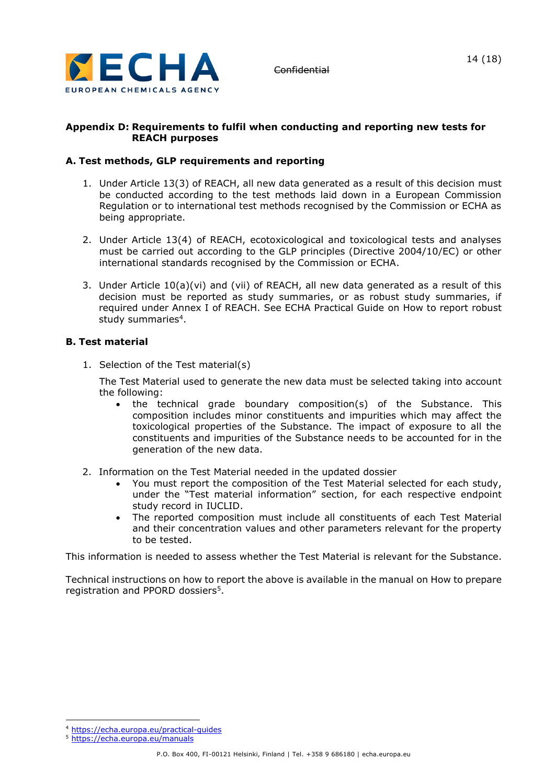

# **Appendix D: Requirements to fulfil when conducting and reporting new tests for REACH purposes**

# **A. Test methods, GLP requirements and reporting**

- 1. Under Article 13(3) of REACH, all new data generated as a result of this decision must be conducted according to the test methods laid down in a European Commission Regulation or to international test methods recognised by the Commission or ECHA as being appropriate.
- 2. Under Article 13(4) of REACH, ecotoxicological and toxicological tests and analyses must be carried out according to the GLP principles (Directive 2004/10/EC) or other international standards recognised by the Commission or ECHA.
- 3. Under Article 10(a)(vi) and (vii) of REACH, all new data generated as a result of this decision must be reported as study summaries, or as robust study summaries, if required under Annex I of REACH. See ECHA Practical Guide on How to report robust study summaries<sup>4</sup>.

# **B. Test material**

1. Selection of the Test material(s)

The Test Material used to generate the new data must be selected taking into account the following:

- the technical grade boundary composition(s) of the Substance. This composition includes minor constituents and impurities which may affect the toxicological properties of the Substance. The impact of exposure to all the constituents and impurities of the Substance needs to be accounted for in the generation of the new data.
- 2. Information on the Test Material needed in the updated dossier
	- You must report the composition of the Test Material selected for each study, under the "Test material information" section, for each respective endpoint study record in IUCLID.
	- The reported composition must include all constituents of each Test Material and their concentration values and other parameters relevant for the property to be tested.

This information is needed to assess whether the Test Material is relevant for the Substance.

Technical instructions on how to report the above is available in the manual on How to prepare registration and PPORD dossiers<sup>5</sup>.

<sup>4</sup> <https://echa.europa.eu/practical-guides>

<sup>5</sup> <https://echa.europa.eu/manuals>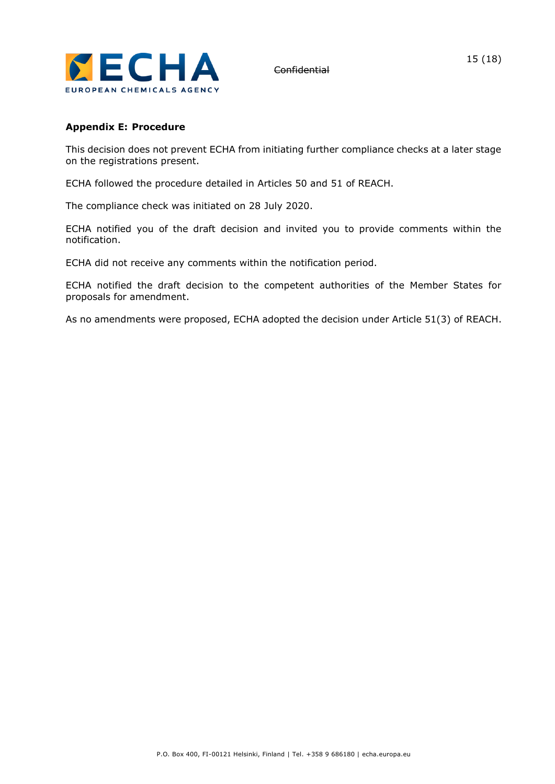

# **Appendix E: Procedure**

This decision does not prevent ECHA from initiating further compliance checks at a later stage on the registrations present.

ECHA followed the procedure detailed in Articles 50 and 51 of REACH.

The compliance check was initiated on 28 July 2020.

ECHA notified you of the draft decision and invited you to provide comments within the notification.

ECHA did not receive any comments within the notification period.

ECHA notified the draft decision to the competent authorities of the Member States for proposals for amendment.

As no amendments were proposed, ECHA adopted the decision under Article 51(3) of REACH.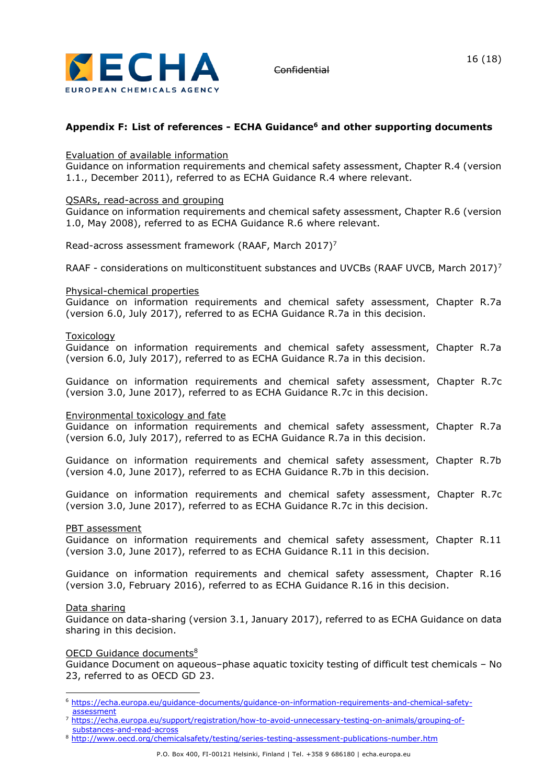

# **Appendix F: List of references - ECHA Guidance<sup>6</sup> and other supporting documents**

#### Evaluation of available information

Guidance on information requirements and chemical safety assessment, Chapter R.4 (version 1.1., December 2011), referred to as ECHA Guidance R.4 where relevant.

#### QSARs, read-across and grouping

Guidance on information requirements and chemical safety assessment, Chapter R.6 (version 1.0, May 2008), referred to as ECHA Guidance R.6 where relevant.

<span id="page-15-0"></span>Read-across assessment framework (RAAF, March 2017)<sup>7</sup>

RAAF - considerations on multiconstituent substances and UVCBs (RAAF UVCB, March 201[7](#page-15-0))<sup>7</sup>

#### Physical-chemical properties

Guidance on information requirements and chemical safety assessment, Chapter R.7a (version 6.0, July 2017), referred to as ECHA Guidance R.7a in this decision.

#### Toxicology

Guidance on information requirements and chemical safety assessment, Chapter R.7a (version 6.0, July 2017), referred to as ECHA Guidance R.7a in this decision.

Guidance on information requirements and chemical safety assessment, Chapter R.7c (version 3.0, June 2017), referred to as ECHA Guidance R.7c in this decision.

#### Environmental toxicology and fate

Guidance on information requirements and chemical safety assessment, Chapter R.7a (version 6.0, July 2017), referred to as ECHA Guidance R.7a in this decision.

Guidance on information requirements and chemical safety assessment, Chapter R.7b (version 4.0, June 2017), referred to as ECHA Guidance R.7b in this decision.

Guidance on information requirements and chemical safety assessment, Chapter R.7c (version 3.0, June 2017), referred to as ECHA Guidance R.7c in this decision.

### PBT assessment

Guidance on information requirements and chemical safety assessment, Chapter R.11 (version 3.0, June 2017), referred to as ECHA Guidance R.11 in this decision.

Guidance on information requirements and chemical safety assessment, Chapter R.16 (version 3.0, February 2016), referred to as ECHA Guidance R.16 in this decision.

#### Data sharing

Guidance on data-sharing (version 3.1, January 2017), referred to as ECHA Guidance on data sharing in this decision.

#### OECD Guidance documents<sup>8</sup>

Guidance Document on aqueous–phase aquatic toxicity testing of difficult test chemicals – No 23, referred to as OECD GD 23.

<sup>6</sup> [https://echa.europa.eu/guidance-documents/guidance-on-information-requirements-and-chemical-safety](https://echa.europa.eu/guidance-documents/guidance-on-information-requirements-and-chemical-safety-assessment)[assessment](https://echa.europa.eu/guidance-documents/guidance-on-information-requirements-and-chemical-safety-assessment)

<sup>7</sup> [https://echa.europa.eu/support/registration/how-to-avoid-unnecessary-testing-on-animals/grouping-of](https://echa.europa.eu/support/registration/how-to-avoid-unnecessary-testing-on-animals/grouping-of-substances-and-read-across)[substances-and-read-across](https://echa.europa.eu/support/registration/how-to-avoid-unnecessary-testing-on-animals/grouping-of-substances-and-read-across)

<sup>8</sup> <http://www.oecd.org/chemicalsafety/testing/series-testing-assessment-publications-number.htm>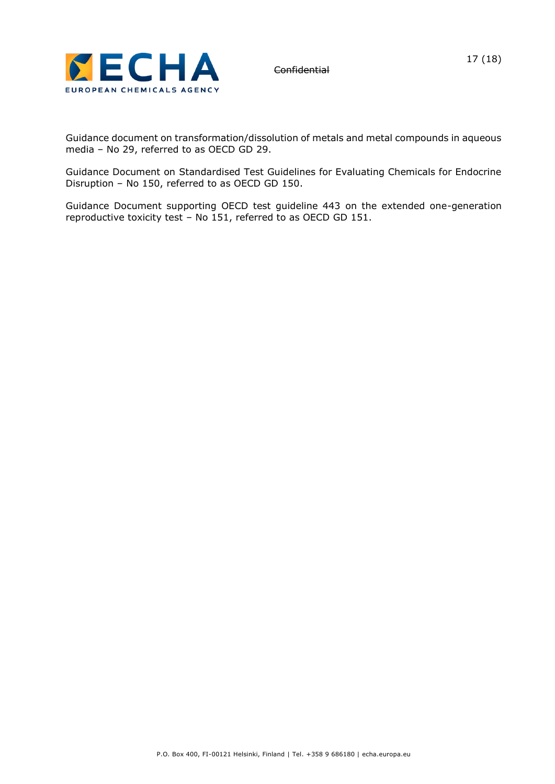

Guidance document on transformation/dissolution of metals and metal compounds in aqueous media – No 29, referred to as OECD GD 29.

Guidance Document on Standardised Test Guidelines for Evaluating Chemicals for Endocrine Disruption – No 150, referred to as OECD GD 150.

Guidance Document supporting OECD test guideline 443 on the extended one-generation reproductive toxicity test – No 151, referred to as OECD GD 151.